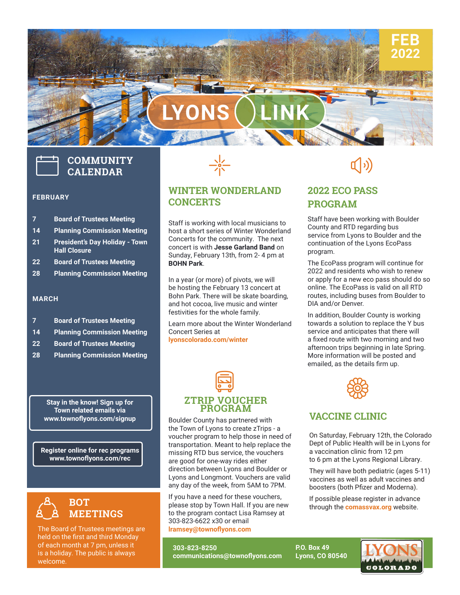# **LYONS LINK**

## **COMMUNITY CALENDAR**

#### **FEBRUARY**

- **7 Board of Trustees Meeting**
- **14 Planning Commission Meeting**
- **21 President's Day Holiday Town Hall Closure**
- **22 Board of Trustees Meeting**
- **28 Planning Commission Meeting**

#### **MARCH**

- **14 Planning Commission Meeting**
- **22 Board of Trustees Meeting**
- **28 Planning Commission Meeting**

**Stay in the know! Sign up for Town related emails via** 

**Register online for rec programs www.townoflyons.com/rec**



The Board of Trustees meetings are held on the first and third Monday of each month at 7 pm, unless it is a holiday. The public is always welcome.



#### **WINTER WONDERLAND CONCERTS**

Staff is working with local musicians to host a short series of Winter Wonderland Concerts for the community. The next concert is with **Jesse Garland Band** on Sunday, February 13th, from 2- 4 pm at **BOHN Park**.

In a year (or more) of pivots, we will be hosting the February 13 concert at Bohn Park. There will be skate boarding, and hot cocoa, live music and winter festivities for the whole family.

Learn more about the Winter Wonderland Concert Series at **lyonscolorado.com/winter**



any day of the week, from 5AM to 7PM. ction be<br>ns and l<br>day of t www.townoflyons.com/signup | Boulder County has partnered with the Town of Lyons to create zTrips - a voucher program to help those in need of transportation. Meant to help replace the missing RTD bus service, the vouchers are good for one-way rides either direction between Lyons and Boulder or Lyons and Longmont. Vouchers are valid

> If you have a need for these vouchers, please stop by Town Hall. If you are new to the program contact Lisa Ramsey at 303-823-6622 x30 or email **lramsey@townoflyons.com**

**303-823-8250 communications@townoflyons.com** **P.O. Box 49 Lyons, CO 80540**



**2022 ECO PASS PROGRAM**

Staff have been working with Boulder County and RTD regarding bus service from Lyons to Boulder and the continuation of the Lyons EcoPass program.

**FEB 2022**

The EcoPass program will continue for 2022 and residents who wish to renew or apply for a new eco pass should do so online. The EcoPass is valid on all RTD routes, including buses from Boulder to DIA and/or Denver.

In addition, Boulder County is working towards a solution to replace the Y bus service and anticipates that there will a fixed route with two morning and two afternoon trips beginning in late Spring. More information will be posted and emailed, as the details firm up.



#### **VACCINE CLINIC**

On Saturday, February 12th, the Colorado Dept of Public Health will be in Lyons for a vaccination clinic from 12 pm to 6 pm at the Lyons Regional Library.

They will have both pediatric (ages 5-11) vaccines as well as adult vaccines and boosters (both Pfizer and Moderna).

If possible please register in advance through the **comassvax.org** website.